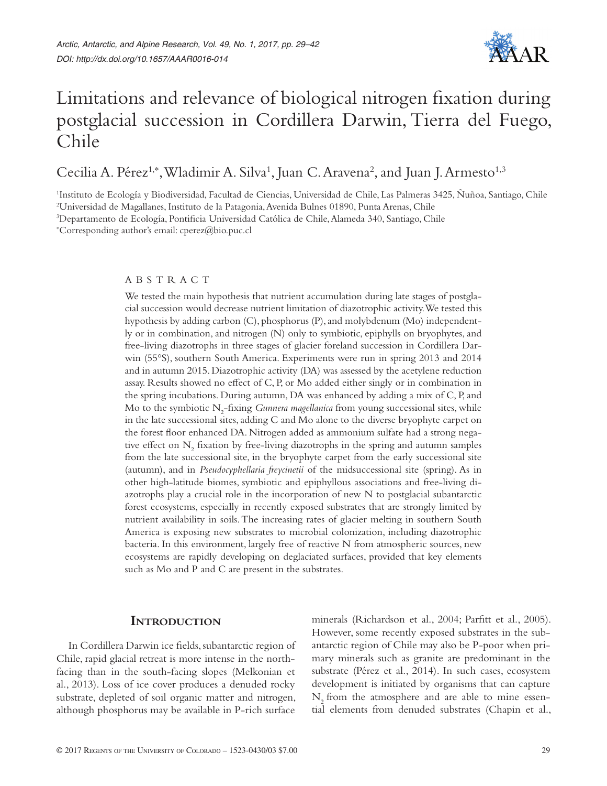

# Limitations and relevance of biological nitrogen fixation during postglacial succession in Cordillera Darwin, Tierra del Fuego, Chile

Cecilia A. Pérez<sup>1,\*</sup>, Wladimir A. Silva<sup>1</sup>, Juan C. Aravena<sup>2</sup>, and Juan J. Armesto<sup>1,3</sup>

1 Instituto de Ecología y Biodiversidad, Facultad de Ciencias, Universidad de Chile, Las Palmeras 3425, Ñuñoa, Santiago, Chile 2 Universidad de Magallanes, Instituto de la Patagonia, Avenida Bulnes 01890, Punta Arenas, Chile

3 Departamento de Ecología, Pontificia Universidad Católica de Chile, Alameda 340, Santiago, Chile

\* Corresponding author's email: cperez@bio.puc.cl

#### ABSTRACT

We tested the main hypothesis that nutrient accumulation during late stages of postglacial succession would decrease nutrient limitation of diazotrophic activity. We tested this hypothesis by adding carbon (C), phosphorus (P), and molybdenum (Mo) independently or in combination, and nitrogen (N) only to symbiotic, epiphylls on bryophytes, and free-living diazotrophs in three stages of glacier foreland succession in Cordillera Darwin (55°S), southern South America. Experiments were run in spring 2013 and 2014 and in autumn 2015. Diazotrophic activity (DA) was assessed by the acetylene reduction assay. Results showed no effect of C, P, or Mo added either singly or in combination in the spring incubations. During autumn, DA was enhanced by adding a mix of C, P, and Mo to the symbiotic N<sub>2</sub>-fixing *Gunnera magellanica* from young successional sites, while in the late successional sites, adding C and Mo alone to the diverse bryophyte carpet on the forest floor enhanced DA. Nitrogen added as ammonium sulfate had a strong negative effect on  $N_2$  fixation by free-living diazotrophs in the spring and autumn samples from the late successional site, in the bryophyte carpet from the early successional site (autumn), and in *Pseudocyphellaria freycinetii* of the midsuccessional site (spring). As in other high-latitude biomes, symbiotic and epiphyllous associations and free-living diazotrophs play a crucial role in the incorporation of new N to postglacial subantarctic forest ecosystems, especially in recently exposed substrates that are strongly limited by nutrient availability in soils. The increasing rates of glacier melting in southern South America is exposing new substrates to microbial colonization, including diazotrophic bacteria. In this environment, largely free of reactive N from atmospheric sources, new ecosystems are rapidly developing on deglaciated surfaces, provided that key elements such as Mo and P and C are present in the substrates.

## **Introduction**

In Cordillera Darwin ice fields, subantarctic region of Chile, rapid glacial retreat is more intense in the northfacing than in the south-facing slopes (Melkonian et al., 2013). Loss of ice cover produces a denuded rocky substrate, depleted of soil organic matter and nitrogen, although phosphorus may be available in P-rich surface

minerals (Richardson et al., 2004; Parfitt et al., 2005). However, some recently exposed substrates in the subantarctic region of Chile may also be P-poor when primary minerals such as granite are predominant in the substrate (Pérez et al., 2014). In such cases, ecosystem development is initiated by organisms that can capture  $N<sub>2</sub>$  from the atmosphere and are able to mine essential elements from denuded substrates (Chapin et al.,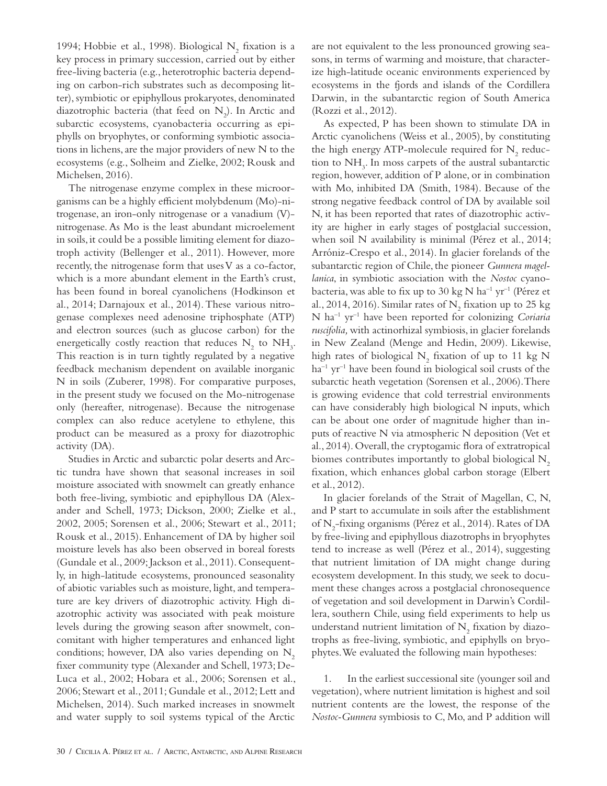1994; Hobbie et al., 1998). Biological  $\mathrm{N}_2$  fixation is a key process in primary succession, carried out by either free-living bacteria (e.g., heterotrophic bacteria depending on carbon-rich substrates such as decomposing litter), symbiotic or epiphyllous prokaryotes, denominated diazotrophic bacteria (that feed on  $N_2$ ). In Arctic and subarctic ecosystems, cyanobacteria occurring as epiphylls on bryophytes, or conforming symbiotic associations in lichens, are the major providers of new N to the ecosystems (e.g., Solheim and Zielke, 2002; Rousk and Michelsen, 2016).

The nitrogenase enzyme complex in these microorganisms can be a highly efficient molybdenum (Mo)-nitrogenase, an iron-only nitrogenase or a vanadium (V) nitrogenase. As Mo is the least abundant microelement in soils, it could be a possible limiting element for diazotroph activity (Bellenger et al., 2011). However, more recently, the nitrogenase form that uses V as a co-factor, which is a more abundant element in the Earth's crust, has been found in boreal cyanolichens (Hodkinson et al., 2014; Darnajoux et al., 2014). These various nitrogenase complexes need adenosine triphosphate (ATP) and electron sources (such as glucose carbon) for the energetically costly reaction that reduces  $N_2$  to  $NH_3$ . This reaction is in turn tightly regulated by a negative feedback mechanism dependent on available inorganic N in soils (Zuberer, 1998). For comparative purposes, in the present study we focused on the Mo-nitrogenase only (hereafter, nitrogenase). Because the nitrogenase complex can also reduce acetylene to ethylene, this product can be measured as a proxy for diazotrophic activity (DA).

Studies in Arctic and subarctic polar deserts and Arctic tundra have shown that seasonal increases in soil moisture associated with snowmelt can greatly enhance both free-living, symbiotic and epiphyllous DA (Alexander and Schell, 1973; Dickson, 2000; Zielke et al., 2002, 2005; Sorensen et al., 2006; Stewart et al., 2011; Rousk et al., 2015). Enhancement of DA by higher soil moisture levels has also been observed in boreal forests (Gundale et al., 2009; Jackson et al., 2011). Consequently, in high-latitude ecosystems, pronounced seasonality of abiotic variables such as moisture, light, and temperature are key drivers of diazotrophic activity. High diazotrophic activity was associated with peak moisture levels during the growing season after snowmelt, concomitant with higher temperatures and enhanced light conditions; however, DA also varies depending on  $N<sub>2</sub>$ fixer community type (Alexander and Schell, 1973; De-Luca et al., 2002; Hobara et al., 2006; Sorensen et al., 2006; Stewart et al., 2011; Gundale et al., 2012; Lett and Michelsen, 2014). Such marked increases in snowmelt and water supply to soil systems typical of the Arctic

are not equivalent to the less pronounced growing seasons, in terms of warming and moisture, that characterize high-latitude oceanic environments experienced by ecosystems in the fjords and islands of the Cordillera Darwin, in the subantarctic region of South America (Rozzi et al., 2012).

As expected, P has been shown to stimulate DA in Arctic cyanolichens (Weiss et al., 2005), by constituting the high energy ATP-molecule required for  $N_2$  reduction to  $NH<sub>3</sub>$ . In moss carpets of the austral subantarctic region, however, addition of P alone, or in combination with Mo, inhibited DA (Smith, 1984). Because of the strong negative feedback control of DA by available soil N, it has been reported that rates of diazotrophic activity are higher in early stages of postglacial succession, when soil N availability is minimal (Pérez et al., 2014; Arróniz-Crespo et al., 2014). In glacier forelands of the subantarctic region of Chile, the pioneer *Gunnera magellanica*, in symbiotic association with the *Nostoc* cyanobacteria, was able to fix up to 30 kg N ha<sup>-1</sup> yr<sup>-1</sup> (Pérez et al., 2014, 2016). Similar rates of  $\mathrm{N}_2$  fixation up to 25 kg N ha–1 yr–1 have been reported for colonizing *Coriaria ruscifolia,* with actinorhizal symbiosis, in glacier forelands in New Zealand (Menge and Hedin, 2009). Likewise, high rates of biological  $N_{2}$  fixation of up to 11 kg N  $ha^{-1}$  yr<sup>-1</sup> have been found in biological soil crusts of the subarctic heath vegetation (Sorensen et al., 2006). There is growing evidence that cold terrestrial environments can have considerably high biological N inputs, which can be about one order of magnitude higher than inputs of reactive N via atmospheric N deposition (Vet et al., 2014). Overall, the cryptogamic flora of extratropical biomes contributes importantly to global biological N<sub>2</sub> fixation, which enhances global carbon storage (Elbert et al., 2012).

In glacier forelands of the Strait of Magellan, C, N, and P start to accumulate in soils after the establishment of N<sub>2</sub>-fixing organisms (Pérez et al., 2014). Rates of DA by free-living and epiphyllous diazotrophs in bryophytes tend to increase as well (Pérez et al., 2014), suggesting that nutrient limitation of DA might change during ecosystem development. In this study, we seek to document these changes across a postglacial chronosequence of vegetation and soil development in Darwin's Cordillera, southern Chile, using field experiments to help us understand nutrient limitation of  $N_{2}$  fixation by diazotrophs as free-living, symbiotic, and epiphylls on bryophytes. We evaluated the following main hypotheses:

1. In the earliest successional site (younger soil and vegetation), where nutrient limitation is highest and soil nutrient contents are the lowest, the response of the *Nostoc-Gunnera* symbiosis to C, Mo, and P addition will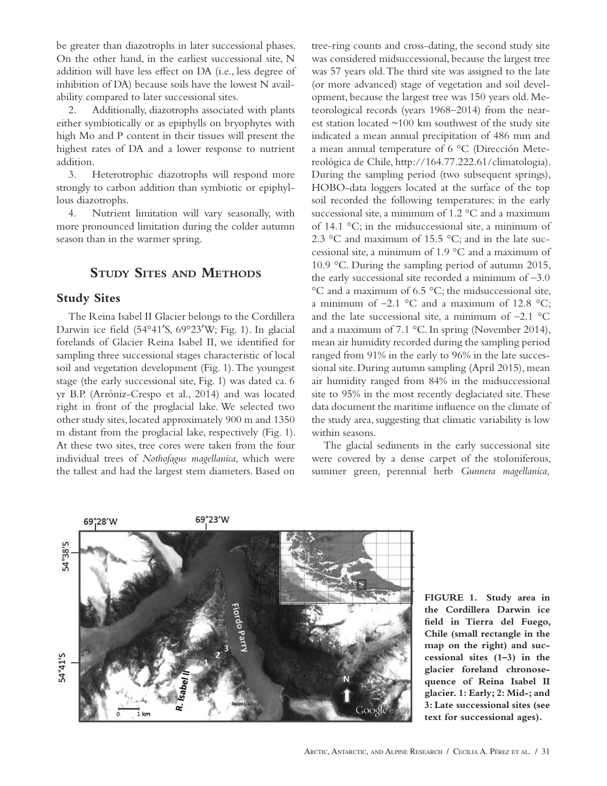be greater than diazotrophs in later successional phases. On the other hand, in the earliest successional site, N addition will have less effect on DA (i.e., less degree of inhibition of DA) because soils have the lowest N availability compared to later successional sites.

2. Additionally, diazotrophs associated with plants either symbiotically or as epiphylls on bryophytes with high Mo and P content in their tissues will present the highest rates of DA and a lower response to nutrient addition.

3. Heterotrophic diazotrophs will respond more strongly to carbon addition than symbiotic or epiphyllous diazotrophs.

4. Nutrient limitation will vary seasonally, with more pronounced limitation during the colder autumn season than in the warmer spring.

# **Study Sites and Methods**

## **Study Sites**

The Reina Isabel II Glacier belongs to the Cordillera Darwin ice field (54°41′S, 69°23′W; Fig. 1). In glacial forelands of Glacier Reina Isabel II, we identified for sampling three successional stages characteristic of local soil and vegetation development (Fig. 1). The youngest stage (the early successional site, Fig. 1) was dated ca. 6 yr B.P. (Arróniz-Crespo et al., 2014) and was located right in front of the proglacial lake. We selected two other study sites, located approximately 900 m and 1350 m distant from the proglacial lake, respectively (Fig. 1). At these two sites, tree cores were taken from the four individual trees of *Nothofagus magellanica*, which were the tallest and had the largest stem diameters. Based on

tree-ring counts and cross-dating, the second study site was considered midsuccessional, because the largest tree was 57 years old. The third site was assigned to the late (or more advanced) stage of vegetation and soil development, because the largest tree was 150 years old. Meteorological records (years 1968–2014) from the nearest station located  $\sim$ 100 km southwest of the study site indicated a mean annual precipitation of 486 mm and a mean annual temperature of 6 °C (Dirección Metereológica de Chile, http://164.77.222.61/climatologia). During the sampling period (two subsequent springs), HOBO-data loggers located at the surface of the top soil recorded the following temperatures: in the early successional site, a minimum of 1.2 °C and a maximum of 14.1 °C; in the midsuccessional site, a minimum of 2.3 °C and maximum of 15.5 °C; and in the late successional site, a minimum of 1.9 °C and a maximum of 10.9 °C. During the sampling period of autumn 2015, the early successional site recorded a minimum of  $-3.0$ °C and a maximum of 6.5 °C; the midsuccessional site, a minimum of  $-2.1$  °C and a maximum of 12.8 °C; and the late successional site, a minimum of  $-2.1 \text{ °C}$ and a maximum of 7.1 °C. In spring (November 2014), mean air humidity recorded during the sampling period ranged from 91% in the early to 96% in the late successional site. During autumn sampling (April 2015), mean air humidity ranged from 84% in the midsuccessional site to 95% in the most recently deglaciated site. These data document the maritime influence on the climate of the study area, suggesting that climatic variability is low within seasons.

The glacial sediments in the early successional site were covered by a dense carpet of the stoloniferous, summer green, perennial herb *Gunnera magellanica,*



**FIGURE 1. Study area in the Cordillera Darwin ice field in Tierra del Fuego, Chile (small rectangle in the map on the right) and successional sites (1–3) in the glacier foreland chronosequence of Reina Isabel II glacier. 1: Early; 2: Mid-; and 3: Late successional sites (see text for successional ages).**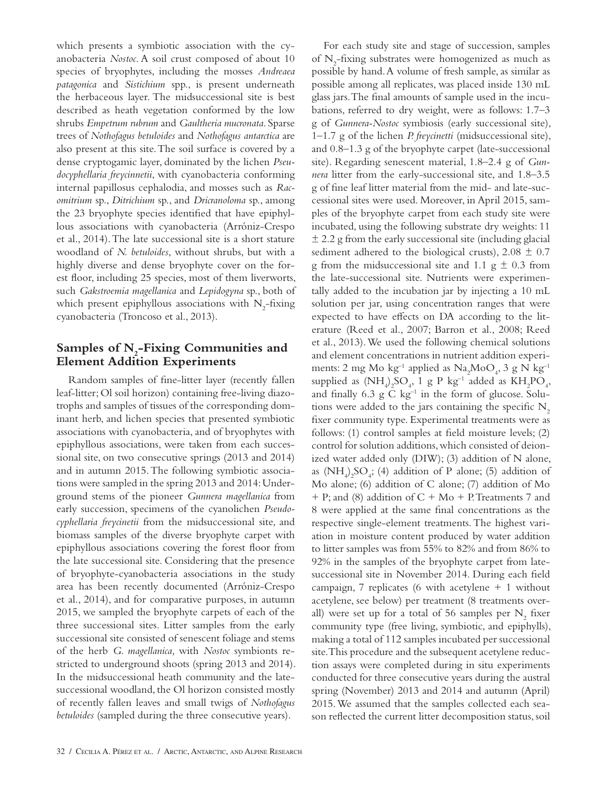which presents a symbiotic association with the cyanobacteria *Nostoc*. A soil crust composed of about 10 species of bryophytes, including the mosses *Andreaea patagonica* and *Sistichium* spp., is present underneath the herbaceous layer. The midsuccessional site is best described as heath vegetation conformed by the low shrubs *Empetrum rubrum* and *Gaultheria mucronata*. Sparse trees of *Nothofagus betuloides* and *Nothofagus antarctica* are also present at this site. The soil surface is covered by a dense cryptogamic layer, dominated by the lichen *Pseudocyphellaria freycinnetii*, with cyanobacteria conforming internal papillosus cephalodia, and mosses such as *Racomitrium* sp., *Ditrichium* sp., and *Dricranoloma* sp., among the 23 bryophyte species identified that have epiphyllous associations with cyanobacteria (Arróniz-Crespo et al., 2014). The late successional site is a short stature woodland of *N. betuloides*, without shrubs, but with a highly diverse and dense bryophyte cover on the forest floor, including 25 species, most of them liverworts, such *Gakstroemia magellanica* and *Lepidogyna* sp., both of which present epiphyllous associations with  $N_2$ -fixing cyanobacteria (Troncoso et al., 2013).

# Samples of N<sub>2</sub>-Fixing Communities and **Element Addition Experiments**

Random samples of fine-litter layer (recently fallen leaf-litter; Ol soil horizon) containing free-living diazotrophs and samples of tissues of the corresponding dominant herb, and lichen species that presented symbiotic associations with cyanobacteria, and of bryophytes with epiphyllous associations, were taken from each successional site, on two consecutive springs (2013 and 2014) and in autumn 2015. The following symbiotic associations were sampled in the spring 2013 and 2014: Underground stems of the pioneer *Gunnera magellanica* from early succession, specimens of the cyanolichen *Pseudocyphellaria freycinetii* from the midsuccessional site, and biomass samples of the diverse bryophyte carpet with epiphyllous associations covering the forest floor from the late successional site. Considering that the presence of bryophyte-cyanobacteria associations in the study area has been recently documented (Arróniz-Crespo et al., 2014), and for comparative purposes, in autumn 2015, we sampled the bryophyte carpets of each of the three successional sites. Litter samples from the early successional site consisted of senescent foliage and stems of the herb *G. magellanica,* with *Nostoc* symbionts restricted to underground shoots (spring 2013 and 2014). In the midsuccessional heath community and the latesuccessional woodland, the Ol horizon consisted mostly of recently fallen leaves and small twigs of *Nothofagus betuloides* (sampled during the three consecutive years).

For each study site and stage of succession, samples of  $N_2$ -fixing substrates were homogenized as much as possible by hand. A volume of fresh sample, as similar as possible among all replicates, was placed inside 130 mL glass jars. The final amounts of sample used in the incubations, referred to dry weight, were as follows: 1.7–3 g of *Gunnera-Nostoc* symbiosis (early successional site), 1–1.7 g of the lichen *P. freycinetti* (midsuccessional site), and 0.8–1.3 g of the bryophyte carpet (late-successional site). Regarding senescent material, 1.8–2.4 g of *Gunnera* litter from the early-successional site, and 1.8–3.5 g of fine leaf litter material from the mid- and late-successional sites were used. Moreover, in April 2015, samples of the bryophyte carpet from each study site were incubated, using the following substrate dry weights: 11  $\pm$  2.2 g from the early successional site (including glacial sediment adhered to the biological crusts),  $2.08 \pm 0.7$ g from the midsuccessional site and 1.1  $g \pm 0.3$  from the late-successional site. Nutrients were experimentally added to the incubation jar by injecting a 10 mL solution per jar, using concentration ranges that were expected to have effects on DA according to the literature (Reed et al., 2007; Barron et al., 2008; Reed et al., 2013). We used the following chemical solutions and element concentrations in nutrient addition experiments: 2 mg Mo $\rm kg^{-1}$  applied as  $\rm Na_2MoO_4$ , 3 g N $\rm kg^{-1}$ supplied as  $(NH_4)_2SO_4$ , 1 g P kg<sup>-1</sup> added as  $KH_2PO_4$ , and finally  $6.3 \text{ g} \text{ C kg}^{-1}$  in the form of glucose. Solutions were added to the jars containing the specific  $N<sub>2</sub>$ fixer community type. Experimental treatments were as follows: (1) control samples at field moisture levels; (2) control for solution additions, which consisted of deionized water added only (DIW); (3) addition of N alone, as  $(NH_4)_2SO_4$ ; (4) addition of P alone; (5) addition of Mo alone; (6) addition of C alone; (7) addition of Mo  $+$  P; and (8) addition of C + Mo + P. Treatments 7 and 8 were applied at the same final concentrations as the respective single-element treatments. The highest variation in moisture content produced by water addition to litter samples was from 55% to 82% and from 86% to 92% in the samples of the bryophyte carpet from latesuccessional site in November 2014. During each field campaign, 7 replicates (6 with acetylene  $+$  1 without acetylene, see below) per treatment (8 treatments overall) were set up for a total of 56 samples per  $\mathrm{N}_2$  fixer community type (free living, symbiotic, and epiphylls), making a total of 112 samples incubated per successional site. This procedure and the subsequent acetylene reduction assays were completed during in situ experiments conducted for three consecutive years during the austral spring (November) 2013 and 2014 and autumn (April) 2015. We assumed that the samples collected each season reflected the current litter decomposition status, soil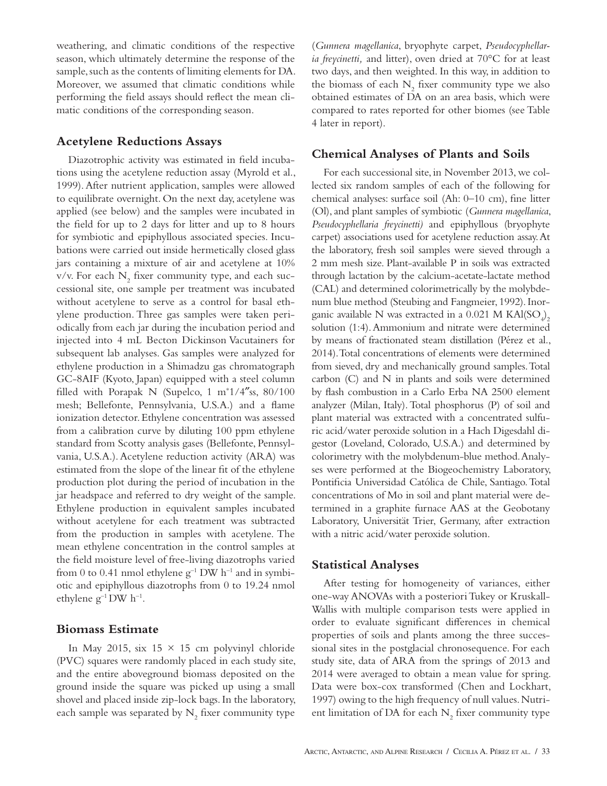weathering, and climatic conditions of the respective season, which ultimately determine the response of the sample, such as the contents of limiting elements for DA. Moreover, we assumed that climatic conditions while performing the field assays should reflect the mean climatic conditions of the corresponding season.

## **Acetylene Reductions Assays**

Diazotrophic activity was estimated in field incubations using the acetylene reduction assay (Myrold et al., 1999). After nutrient application, samples were allowed to equilibrate overnight. On the next day, acetylene was applied (see below) and the samples were incubated in the field for up to 2 days for litter and up to 8 hours for symbiotic and epiphyllous associated species. Incubations were carried out inside hermetically closed glass jars containing a mixture of air and acetylene at 10% v/v. For each  $N_2$  fixer community type, and each successional site, one sample per treatment was incubated without acetylene to serve as a control for basal ethylene production. Three gas samples were taken periodically from each jar during the incubation period and injected into 4 mL Becton Dickinson Vacutainers for subsequent lab analyses. Gas samples were analyzed for ethylene production in a Shimadzu gas chromatograph GC-8AIF (Kyoto, Japan) equipped with a steel column filled with Porapak N (Supelco, 1 m<sup>\*</sup>1/4"ss, 80/100 mesh; Bellefonte, Pennsylvania, U.S.A.) and a flame ionization detector. Ethylene concentration was assessed from a calibration curve by diluting 100 ppm ethylene standard from Scotty analysis gases (Bellefonte, Pennsylvania, U.S.A.). Acetylene reduction activity (ARA) was estimated from the slope of the linear fit of the ethylene production plot during the period of incubation in the jar headspace and referred to dry weight of the sample. Ethylene production in equivalent samples incubated without acetylene for each treatment was subtracted from the production in samples with acetylene. The mean ethylene concentration in the control samples at the field moisture level of free-living diazotrophs varied from 0 to 0.41 nmol ethylene  $g^{-1}$  DW h<sup>-1</sup> and in symbiotic and epiphyllous diazotrophs from 0 to 19.24 nmol ethylene  $g^{-1}$  DW  $h^{-1}$ .

## **Biomass Estimate**

In May 2015, six  $15 \times 15$  cm polyvinyl chloride (PVC) squares were randomly placed in each study site, and the entire aboveground biomass deposited on the ground inside the square was picked up using a small shovel and placed inside zip-lock bags. In the laboratory, each sample was separated by  $\mathrm{N}_2$  fixer community type (*Gunnera magellanica*, bryophyte carpet, *Pseudocyphellaria freycinetti,* and litter), oven dried at 70°C for at least two days, and then weighted. In this way, in addition to the biomass of each  $\mathrm{N}_2$  fixer community type we also obtained estimates of DA on an area basis, which were compared to rates reported for other biomes (see Table 4 later in report).

#### **Chemical Analyses of Plants and Soils**

For each successional site, in November 2013, we collected six random samples of each of the following for chemical analyses: surface soil (Ah: 0–10 cm), fine litter (Ol), and plant samples of symbiotic (*Gunnera magellanica*, *Pseudocyphellaria freycinetti)* and epiphyllous (bryophyte carpet) associations used for acetylene reduction assay. At the laboratory, fresh soil samples were sieved through a 2 mm mesh size. Plant-available P in soils was extracted through lactation by the calcium-acetate-lactate method (CAL) and determined colorimetrically by the molybdenum blue method (Steubing and Fangmeier, 1992). Inorganic available N was extracted in a 0.021 M  $\text{KAl}(\text{SO}_4)_2$ solution (1:4). Ammonium and nitrate were determined by means of fractionated steam distillation (Pérez et al., 2014). Total concentrations of elements were determined from sieved, dry and mechanically ground samples. Total carbon (C) and N in plants and soils were determined by flash combustion in a Carlo Erba NA 2500 element analyzer (Milan, Italy). Total phosphorus (P) of soil and plant material was extracted with a concentrated sulfuric acid/water peroxide solution in a Hach Digesdahl digestor (Loveland, Colorado, U.S.A.) and determined by colorimetry with the molybdenum-blue method. Analyses were performed at the Biogeochemistry Laboratory, Pontificia Universidad Católica de Chile, Santiago. Total concentrations of Mo in soil and plant material were determined in a graphite furnace AAS at the Geobotany Laboratory, Universität Trier, Germany, after extraction with a nitric acid/water peroxide solution.

## **Statistical Analyses**

After testing for homogeneity of variances, either one-way ANOVAs with a posteriori Tukey or Kruskall-Wallis with multiple comparison tests were applied in order to evaluate significant differences in chemical properties of soils and plants among the three successional sites in the postglacial chronosequence. For each study site, data of ARA from the springs of 2013 and 2014 were averaged to obtain a mean value for spring. Data were box-cox transformed (Chen and Lockhart, 1997) owing to the high frequency of null values. Nutrient limitation of DA for each  $\rm N_2$  fixer community type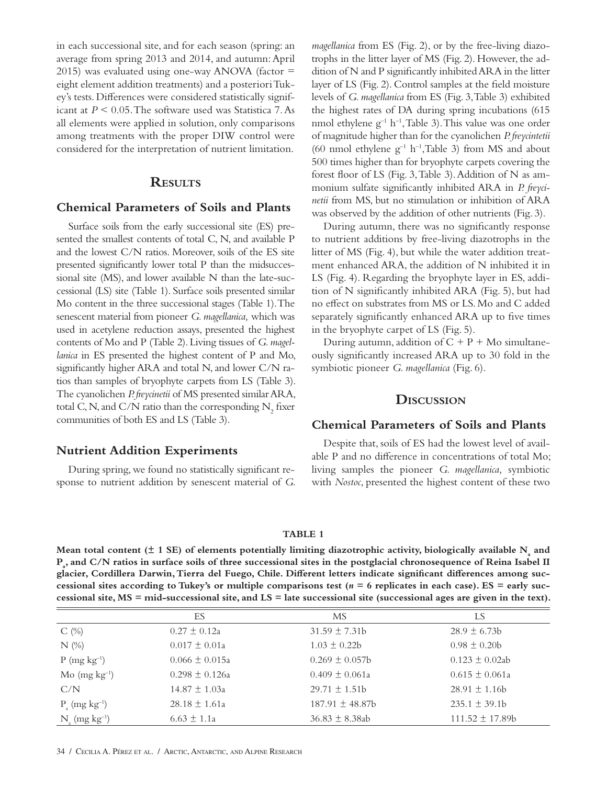in each successional site, and for each season (spring: an average from spring 2013 and 2014, and autumn: April 2015) was evaluated using one-way ANOVA (factor  $=$ eight element addition treatments) and a posteriori Tukey's tests. Differences were considered statistically significant at *P* < 0.05. The software used was Statistica 7. As all elements were applied in solution, only comparisons among treatments with the proper DIW control were considered for the interpretation of nutrient limitation.

## **Results**

## **Chemical Parameters of Soils and Plants**

Surface soils from the early successional site (ES) presented the smallest contents of total C, N, and available P and the lowest C/N ratios. Moreover, soils of the ES site presented significantly lower total P than the midsuccessional site (MS), and lower available N than the late-successional (LS) site (Table 1). Surface soils presented similar Mo content in the three successional stages (Table 1). The senescent material from pioneer *G. magellanica,* which was used in acetylene reduction assays, presented the highest contents of Mo and P (Table 2). Living tissues of *G. magellanica* in ES presented the highest content of P and Mo, significantly higher ARA and total N, and lower C/N ratios than samples of bryophyte carpets from LS (Table 3). The cyanolichen *P. freycinetii* of MS presented similar ARA, total C, N, and C/N ratio than the corresponding  $\mathrm{N}_2^{}$  fixer communities of both ES and LS (Table 3).

## **Nutrient Addition Experiments**

During spring, we found no statistically significant response to nutrient addition by senescent material of *G.*  *magellanica* from ES (Fig. 2), or by the free-living diazotrophs in the litter layer of MS (Fig. 2). However, the addition of N and P significantly inhibited ARA in the litter layer of LS (Fig. 2). Control samples at the field moisture levels of *G. magellanica* from ES (Fig. 3, Table 3) exhibited the highest rates of DA during spring incubations (615 nmol ethylene  $g^{-1}$  h<sup>-1</sup>, Table 3). This value was one order of magnitude higher than for the cyanolichen *P. freycintetii* (60 nmol ethylene  $g^{-1}$  h<sup>-1</sup>, Table 3) from MS and about 500 times higher than for bryophyte carpets covering the forest floor of LS (Fig. 3, Table 3). Addition of N as ammonium sulfate significantly inhibited ARA in *P. freycinetii* from MS, but no stimulation or inhibition of ARA was observed by the addition of other nutrients (Fig. 3).

During autumn, there was no significantly response to nutrient additions by free-living diazotrophs in the litter of MS (Fig. 4), but while the water addition treatment enhanced ARA, the addition of N inhibited it in LS (Fig. 4). Regarding the bryophyte layer in ES, addition of N significantly inhibited ARA (Fig. 5), but had no effect on substrates from MS or LS. Mo and C added separately significantly enhanced ARA up to five times in the bryophyte carpet of LS (Fig. 5).

During autumn, addition of  $C + P + Mo$  simultaneously significantly increased ARA up to 30 fold in the symbiotic pioneer *G. magellanica* (Fig. 6).

### **Discussion**

## **Chemical Parameters of Soils and Plants**

Despite that, soils of ES had the lowest level of available P and no difference in concentrations of total Mo; living samples the pioneer *G. magellanica,* symbiotic with *Nostoc*, presented the highest content of these two

#### **TABLE 1**

Mean total content  $(\pm 1 \text{ SE})$  of elements potentially limiting diazotrophic activity, biologically available  $N_{\text{a}}$  and **Pa , and C/N ratios in surface soils of three successional sites in the postglacial chronosequence of Reina Isabel II glacier, Cordillera Darwin, Tierra del Fuego, Chile. Different letters indicate significant differences among successional sites according to Tukey's or multiple comparisons test (***n* **= 6 replicates in each case). ES = early successional site, MS = mid-successional site, and LS = late successional site (successional ages are given in the text).**

|                                    | ES                 | МS                  | LS                  |
|------------------------------------|--------------------|---------------------|---------------------|
| $C(\%)$                            | $0.27 \pm 0.12a$   | $31.59 \pm 7.31b$   | $28.9 \pm 6.73b$    |
| $N$ (%)                            | $0.017 \pm 0.01a$  | $1.03 \pm 0.22b$    | $0.98 \pm 0.20$     |
| $P$ (mg kg <sup>-1</sup> )         | $0.066 \pm 0.015a$ | $0.269 \pm 0.057$   | $0.123 \pm 0.02ab$  |
| $M\sigma$ (mg kg <sup>-1</sup> )   | $0.298 \pm 0.126a$ | $0.409 \pm 0.061a$  | $0.615 \pm 0.061a$  |
| C/N                                | $14.87 \pm 1.03a$  | $29.71 + 1.51$      | $28.91 + 1.16b$     |
| $P_{1}$ (mg kg <sup>-1</sup> )     | $28.18 \pm 1.61a$  | $187.91 \pm 48.87$  | $235.1 + 39.1b$     |
| $N_{\rm g}$ (mg kg <sup>-1</sup> ) | $6.63 \pm 1.1a$    | $36.83 \pm 8.38$ ab | $111.52 \pm 17.89b$ |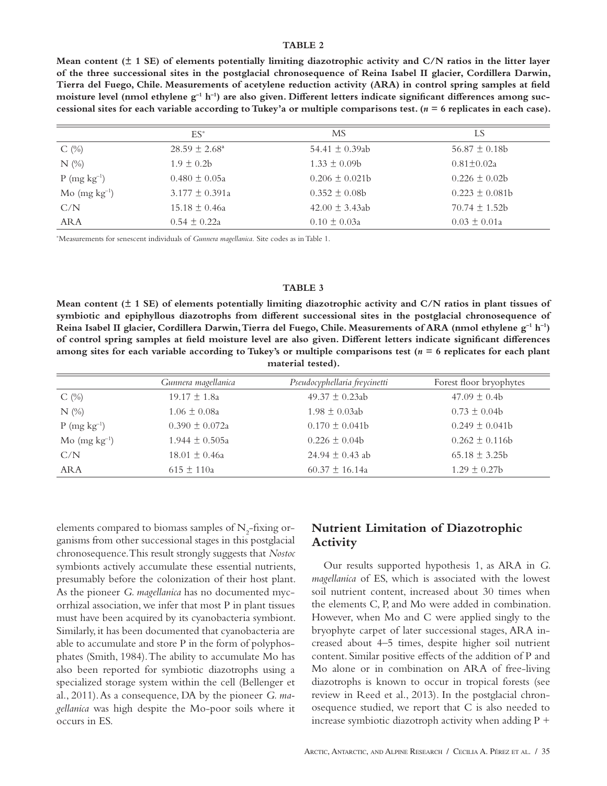#### **TABLE 2**

**Mean content (± 1 SE) of elements potentially limiting diazotrophic activity and C/N ratios in the litter layer of the three successional sites in the postglacial chronosequence of Reina Isabel II glacier, Cordillera Darwin, Tierra del Fuego, Chile. Measurements of acetylene reduction activity (ARA) in control spring samples at field**  moisture level (nmol ethylene g<sup>-1</sup> h<sup>-1</sup>) are also given. Different letters indicate significant differences among suc**cessional sites for each variable according to Tukey'a or multiple comparisons test. (***n* **= 6 replicates in each case).**

|                            | $ES^*$                   | МS                 | LS                |
|----------------------------|--------------------------|--------------------|-------------------|
| $C(\%)$                    | $28.59 \pm 2.68^{\circ}$ | 54.41 $\pm$ 0.39ab | $56.87 \pm 0.18b$ |
| $N$ (%)                    | $1.9 + 0.2b$             | $1.33 + 0.09b$     | $0.81 + 0.02a$    |
| $P$ (mg kg <sup>-1</sup> ) | $0.480 \pm 0.05a$        | $0.206 \pm 0.021b$ | $0.226 \pm 0.02b$ |
| $Mo$ (mg $kg^{-1}$ )       | $3.177 + 0.391a$         | $0.352 + 0.08b$    | $0.223 + 0.081b$  |
| C/N                        | $15.18 \pm 0.46a$        | $42.00 + 3.43ab$   | $70.74 + 1.52h$   |
| <b>ARA</b>                 | $0.54 \pm 0.22a$         | $0.10 \pm 0.03a$   | $0.03 \pm 0.01a$  |

\* Measurements for senescent individuals of *Gunnera magellanica.* Site codes as in Table 1.

#### **TABLE 3**

**Mean content (± 1 SE) of elements potentially limiting diazotrophic activity and C/N ratios in plant tissues of symbiotic and epiphyllous diazotrophs from different successional sites in the postglacial chronosequence of Reina Isabel II glacier, Cordillera Darwin, Tierra del Fuego, Chile. Measurements of ARA (nmol ethylene g–1 h–1) of control spring samples at field moisture level are also given. Different letters indicate significant differences among sites for each variable according to Tukey's or multiple comparisons test (***n* **= 6 replicates for each plant material tested).**

|                                    | Gunnera magellanica | Pseudocyphellaria freycinetti | Forest floor bryophytes |
|------------------------------------|---------------------|-------------------------------|-------------------------|
| $C(\%)$                            | $19.17 \pm 1.8a$    | $49.37 \pm 0.23ab$            | $47.09 \pm 0.4b$        |
| $N$ (%)                            | $1.06 \pm 0.08a$    | $1.98 + 0.03ab$               | $0.73 \pm 0.04b$        |
| $P (mg kg^{-1})$                   | $0.390 \pm 0.072a$  | $0.170 \pm 0.041$             | $0.249 + 0.041b$        |
| $\text{Mo}$ (mg kg <sup>-1</sup> ) | $1.944 \pm 0.505a$  | $0.226 \pm 0.04b$             | $0.262 + 0.116b$        |
| C/N                                | $18.01 \pm 0.46a$   | $24.94 + 0.43$ ab             | $65.18 \pm 3.25b$       |
| ARA                                | $615 \pm 110a$      | $60.37 \pm 16.14a$            | $1.29 \pm 0.27$ b       |

elements compared to biomass samples of  $N_2$ -fixing organisms from other successional stages in this postglacial chronosequence. This result strongly suggests that *Nostoc* symbionts actively accumulate these essential nutrients, presumably before the colonization of their host plant. As the pioneer *G. magellanica* has no documented mycorrhizal association, we infer that most P in plant tissues must have been acquired by its cyanobacteria symbiont. Similarly, it has been documented that cyanobacteria are able to accumulate and store P in the form of polyphosphates (Smith, 1984). The ability to accumulate Mo has also been reported for symbiotic diazotrophs using a specialized storage system within the cell (Bellenger et al., 2011). As a consequence, DA by the pioneer *G. magellanica* was high despite the Mo-poor soils where it occurs in ES.

## **Nutrient Limitation of Diazotrophic Activity**

Our results supported hypothesis 1, as ARA in *G. magellanica* of ES, which is associated with the lowest soil nutrient content, increased about 30 times when the elements C, P, and Mo were added in combination. However, when Mo and C were applied singly to the bryophyte carpet of later successional stages, ARA increased about 4–5 times, despite higher soil nutrient content. Similar positive effects of the addition of P and Mo alone or in combination on ARA of free-living diazotrophs is known to occur in tropical forests (see review in Reed et al., 2013). In the postglacial chronosequence studied, we report that C is also needed to increase symbiotic diazotroph activity when adding  $P +$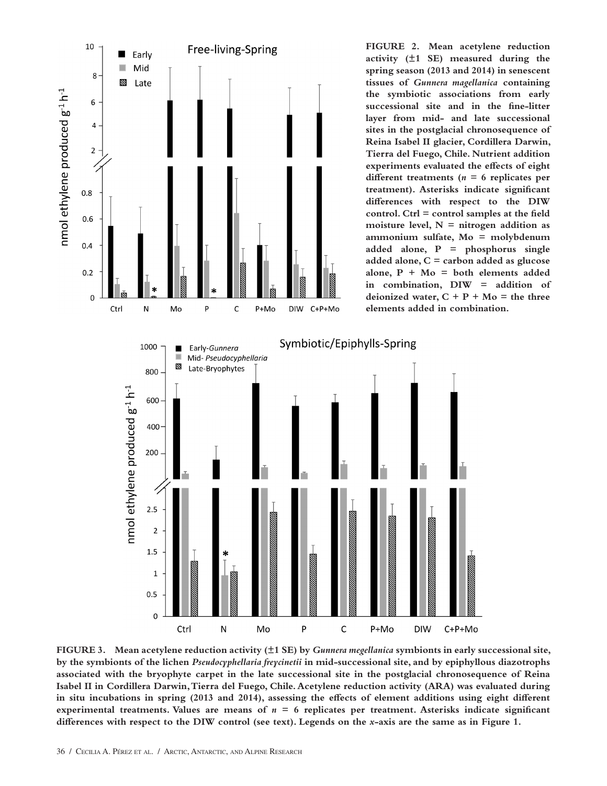

**FIGURE 3. Mean acetylene reduction activity (±1 SE) by** *Gunnera megellanica* **symbionts in early successional site, by the symbionts of the lichen** *Pseudocyphellaria freycinetii* **in mid-successional site, and by epiphyllous diazotrophs associated with the bryophyte carpet in the late successional site in the postglacial chronosequence of Reina Isabel II in Cordillera Darwin, Tierra del Fuego, Chile. Acetylene reduction activity (ARA) was evaluated during in situ incubations in spring (2013 and 2014), assessing the effects of element additions using eight different**  experimental treatments. Values are means of  $n = 6$  replicates per treatment. Asterisks indicate significant **differences with respect to the DIW control (see text). Legends on the** *x***-axis are the same as in Figure 1.**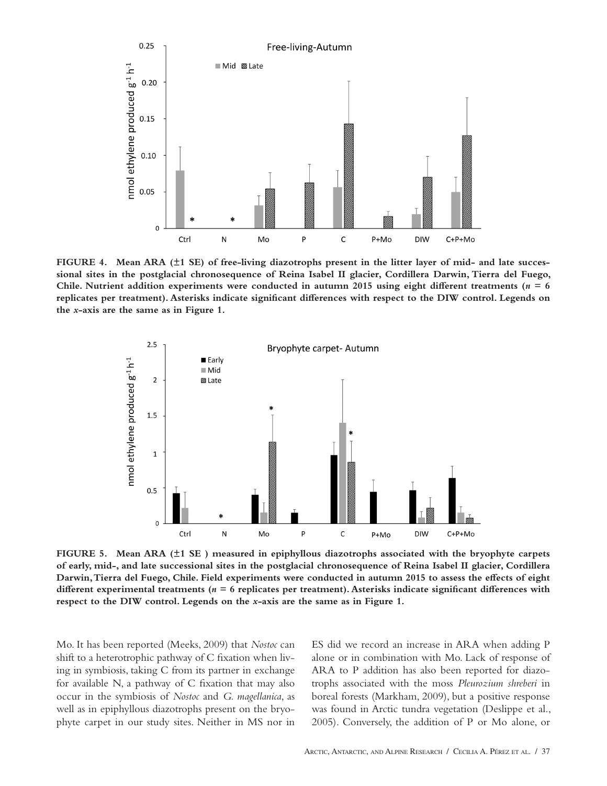

**FIGURE 4. Mean ARA (±1 SE) of free-living diazotrophs present in the litter layer of mid- and late successional sites in the postglacial chronosequence of Reina Isabel II glacier, Cordillera Darwin, Tierra del Fuego,**  Chile. Nutrient addition experiments were conducted in autumn 2015 using eight different treatments ( $n = 6$ **replicates per treatment). Asterisks indicate significant differences with respect to the DIW control. Legends on the** *x***-axis are the same as in Figure 1.**



**FIGURE 5. Mean ARA (±1 SE ) measured in epiphyllous diazotrophs associated with the bryophyte carpets of early, mid-, and late successional sites in the postglacial chronosequence of Reina Isabel II glacier, Cordillera Darwin, Tierra del Fuego, Chile. Field experiments were conducted in autumn 2015 to assess the effects of eight different experimental treatments (***n* **= 6 replicates per treatment). Asterisks indicate significant differences with respect to the DIW control. Legends on the** *x***-axis are the same as in Figure 1.**

Mo. It has been reported (Meeks, 2009) that *Nostoc* can shift to a heterotrophic pathway of C fixation when living in symbiosis, taking C from its partner in exchange for available N, a pathway of C fixation that may also occur in the symbiosis of *Nostoc* and *G. magellanica*, as well as in epiphyllous diazotrophs present on the bryophyte carpet in our study sites. Neither in MS nor in

ES did we record an increase in ARA when adding P alone or in combination with Mo. Lack of response of ARA to P addition has also been reported for diazotrophs associated with the moss *Pleurozium shreberi* in boreal forests (Markham, 2009), but a positive response was found in Arctic tundra vegetation (Deslippe et al., 2005). Conversely, the addition of P or Mo alone, or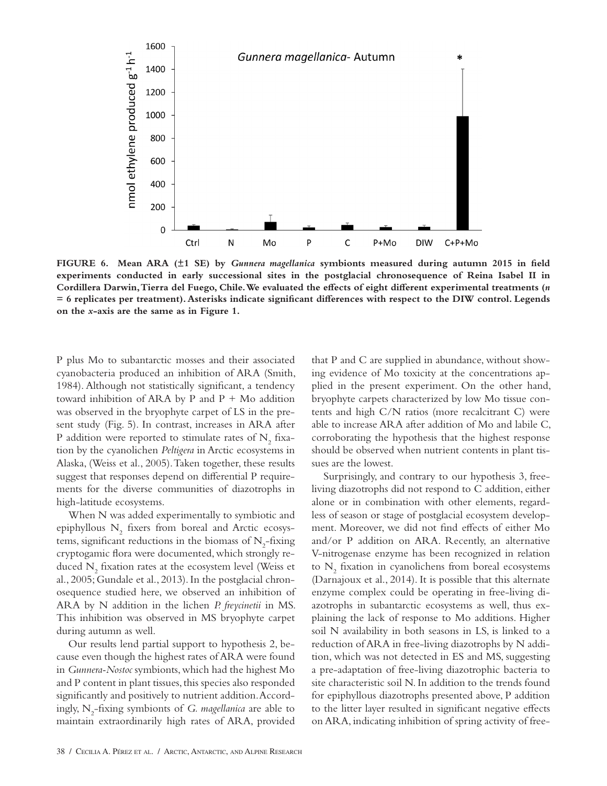

**FIGURE 6. Mean ARA (±1 SE) by** *Gunnera magellanica* **symbionts measured during autumn 2015 in field experiments conducted in early successional sites in the postglacial chronosequence of Reina Isabel II in Cordillera Darwin, Tierra del Fuego, Chile. We evaluated the effects of eight different experimental treatments (***n* **= 6 replicates per treatment). Asterisks indicate significant differences with respect to the DIW control. Legends on the** *x***-axis are the same as in Figure 1.**

P plus Mo to subantarctic mosses and their associated cyanobacteria produced an inhibition of ARA (Smith, 1984). Although not statistically significant, a tendency toward inhibition of ARA by P and  $P + Mo$  addition was observed in the bryophyte carpet of LS in the present study (Fig. 5). In contrast, increases in ARA after P addition were reported to stimulate rates of  $\mathrm{N}_2$  fixation by the cyanolichen *Peltigera* in Arctic ecosystems in Alaska, (Weiss et al., 2005). Taken together, these results suggest that responses depend on differential P requirements for the diverse communities of diazotrophs in high-latitude ecosystems.

When N was added experimentally to symbiotic and epiphyllous  $N_2$  fixers from boreal and Arctic ecosystems, significant reductions in the biomass of  $N_{2}$ -fixing cryptogamic flora were documented, which strongly reduced  $\mathrm{N}_\mathrm{2}$  fixation rates at the ecosystem level (Weiss et al., 2005; Gundale et al., 2013). In the postglacial chronosequence studied here, we observed an inhibition of ARA by N addition in the lichen *P. freycinetii* in MS. This inhibition was observed in MS bryophyte carpet during autumn as well.

Our results lend partial support to hypothesis 2, because even though the highest rates of ARA were found in *Gunnera-Nostoc* symbionts, which had the highest Mo and P content in plant tissues, this species also responded significantly and positively to nutrient addition. Accordingly, N<sub>2</sub>-fixing symbionts of *G. magellanica* are able to maintain extraordinarily high rates of ARA, provided

that P and C are supplied in abundance, without showing evidence of Mo toxicity at the concentrations applied in the present experiment. On the other hand, bryophyte carpets characterized by low Mo tissue contents and high C/N ratios (more recalcitrant C) were able to increase ARA after addition of Mo and labile C, corroborating the hypothesis that the highest response should be observed when nutrient contents in plant tissues are the lowest.

Surprisingly, and contrary to our hypothesis 3, freeliving diazotrophs did not respond to C addition, either alone or in combination with other elements, regardless of season or stage of postglacial ecosystem development. Moreover, we did not find effects of either Mo and/or P addition on ARA. Recently, an alternative V-nitrogenase enzyme has been recognized in relation to  $N_2$  fixation in cyanolichens from boreal ecosystems (Darnajoux et al., 2014). It is possible that this alternate enzyme complex could be operating in free-living diazotrophs in subantarctic ecosystems as well, thus explaining the lack of response to Mo additions. Higher soil N availability in both seasons in LS, is linked to a reduction of ARA in free-living diazotrophs by N addition, which was not detected in ES and MS, suggesting a pre-adaptation of free-living diazotrophic bacteria to site characteristic soil N. In addition to the trends found for epiphyllous diazotrophs presented above, P addition to the litter layer resulted in significant negative effects on ARA, indicating inhibition of spring activity of free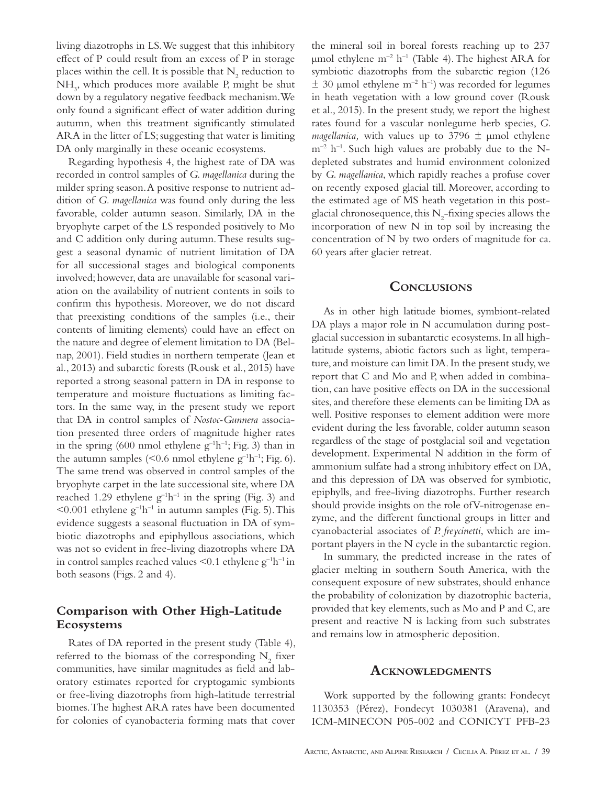living diazotrophs in LS. We suggest that this inhibitory effect of P could result from an excess of P in storage places within the cell. It is possible that  $\mathrm{N}_2$  reduction to NH3 , which produces more available P, might be shut down by a regulatory negative feedback mechanism. We only found a significant effect of water addition during autumn, when this treatment significantly stimulated ARA in the litter of LS; suggesting that water is limiting DA only marginally in these oceanic ecosystems.

Regarding hypothesis 4, the highest rate of DA was recorded in control samples of *G. magellanica* during the milder spring season. A positive response to nutrient addition of *G. magellanica* was found only during the less favorable, colder autumn season. Similarly, DA in the bryophyte carpet of the LS responded positively to Mo and C addition only during autumn. These results suggest a seasonal dynamic of nutrient limitation of DA for all successional stages and biological components involved; however, data are unavailable for seasonal variation on the availability of nutrient contents in soils to confirm this hypothesis. Moreover, we do not discard that preexisting conditions of the samples (i.e., their contents of limiting elements) could have an effect on the nature and degree of element limitation to DA (Belnap, 2001). Field studies in northern temperate (Jean et al., 2013) and subarctic forests (Rousk et al., 2015) have reported a strong seasonal pattern in DA in response to temperature and moisture fluctuations as limiting factors. In the same way, in the present study we report that DA in control samples of *Nostoc-Gunnera* association presented three orders of magnitude higher rates in the spring (600 nmol ethylene  $g^{-1}h^{-1}$ ; Fig. 3) than in the autumn samples (<0.6 nmol ethylene  $g^{-1}h^{-1}$ ; Fig. 6). The same trend was observed in control samples of the bryophyte carpet in the late successional site, where DA reached 1.29 ethylene  $g^{-1}h^{-1}$  in the spring (Fig. 3) and  $\leq 0.001$  ethylene g<sup>-1</sup>h<sup>-1</sup> in autumn samples (Fig. 5). This evidence suggests a seasonal fluctuation in DA of symbiotic diazotrophs and epiphyllous associations, which was not so evident in free-living diazotrophs where DA in control samples reached values  $\leq 0.1$  ethylene  $g^{-1}h^{-1}$  in both seasons (Figs. 2 and 4).

# **Comparison with Other High-Latitude Ecosystems**

Rates of DA reported in the present study (Table 4), referred to the biomass of the corresponding  $\mathrm{N}_2$  fixer communities, have similar magnitudes as field and laboratory estimates reported for cryptogamic symbionts or free-living diazotrophs from high-latitude terrestrial biomes. The highest ARA rates have been documented for colonies of cyanobacteria forming mats that cover

the mineral soil in boreal forests reaching up to 237 μmol ethylene m<sup>-2</sup> h<sup>-1</sup> (Table 4). The highest ARA for symbiotic diazotrophs from the subarctic region (126  $\pm$  30 µmol ethylene m<sup>-2</sup> h<sup>-1</sup>) was recorded for legumes in heath vegetation with a low ground cover (Rousk et al., 2015). In the present study, we report the highest rates found for a vascular nonlegume herb species, *G. magellanica,* with values up to 3796 ± μmol ethylene  $m^{-2}$  h<sup>-1</sup>. Such high values are probably due to the Ndepleted substrates and humid environment colonized by *G. magellanica*, which rapidly reaches a profuse cover on recently exposed glacial till. Moreover, according to the estimated age of MS heath vegetation in this postglacial chronosequence, this  $N_2$ -fixing species allows the incorporation of new N in top soil by increasing the concentration of N by two orders of magnitude for ca. 60 years after glacier retreat.

### **Conclusions**

As in other high latitude biomes, symbiont-related DA plays a major role in N accumulation during postglacial succession in subantarctic ecosystems. In all highlatitude systems, abiotic factors such as light, temperature, and moisture can limit DA. In the present study, we report that C and Mo and P, when added in combination, can have positive effects on DA in the successional sites, and therefore these elements can be limiting DA as well. Positive responses to element addition were more evident during the less favorable, colder autumn season regardless of the stage of postglacial soil and vegetation development. Experimental N addition in the form of ammonium sulfate had a strong inhibitory effect on DA, and this depression of DA was observed for symbiotic, epiphylls, and free-living diazotrophs. Further research should provide insights on the role of V-nitrogenase enzyme, and the different functional groups in litter and cyanobacterial associates of *P. freycinetti*, which are important players in the N cycle in the subantarctic region.

In summary, the predicted increase in the rates of glacier melting in southern South America, with the consequent exposure of new substrates, should enhance the probability of colonization by diazotrophic bacteria, provided that key elements, such as Mo and P and C, are present and reactive N is lacking from such substrates and remains low in atmospheric deposition.

#### **Acknowledgments**

Work supported by the following grants: Fondecyt 1130353 (Pérez), Fondecyt 1030381 (Aravena), and ICM-MINECON P05-002 and CONICYT PFB-23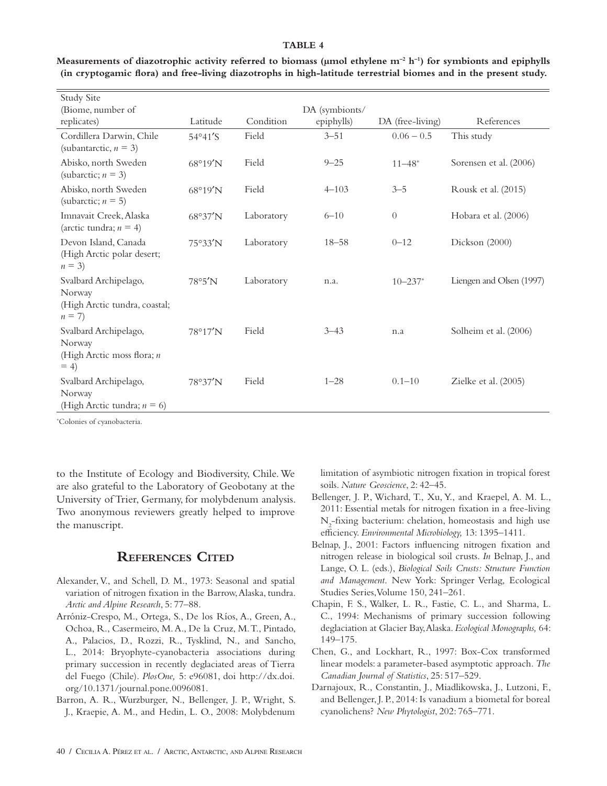#### **TABLE 4**

| <b>Study Site</b>                                                           |                   |            |                |                        |                          |
|-----------------------------------------------------------------------------|-------------------|------------|----------------|------------------------|--------------------------|
| (Biome, number of                                                           |                   |            | DA (symbionts/ |                        |                          |
| replicates)                                                                 | Latitude          | Condition  | epiphylls)     | DA (free-living)       | References               |
| Cordillera Darwin, Chile<br>(subantarctic, $n = 3$ )                        | $54°41'$ S        | Field      | $3 - 51$       | $0.06 - 0.5$           | This study               |
| Abisko, north Sweden<br>(subarctic; $n = 3$ )                               | $68^{\circ}19'$ N | Field      | $9 - 25$       | $11 - 48$ <sup>*</sup> | Sorensen et al. (2006)   |
| Abisko, north Sweden<br>(subarctic; $n = 5$ )                               | $68^{\circ}19'$ N | Field      | $4 - 103$      | $3 - 5$                | Rousk et al. (2015)      |
| Imnavait Creek, Alaska<br>(arctic tundra; $n = 4$ )                         | 68°37'N           | Laboratory | $6 - 10$       | $\overline{0}$         | Hobara et al. (2006)     |
| Devon Island, Canada<br>(High Arctic polar desert;<br>$n = 3$               | 75°33'N           | Laboratory | $18 - 58$      | $0 - 12$               | Dickson (2000)           |
| Svalbard Archipelago,<br>Norway<br>(High Arctic tundra, coastal;<br>$n = 7$ | $78^{\circ}5'$ N  | Laboratory | n.a.           | $10 - 237$ *           | Liengen and Olsen (1997) |
| Svalbard Archipelago,<br>Norway<br>(High Arctic moss flora; $n$<br>$= 4$    | 78°17'N           | Field      | $3 - 43$       | n.a                    | Solheim et al. (2006)    |
| Svalbard Archipelago,<br>Norway<br>(High Arctic tundra; $n = 6$ )           | 78°37'N           | Field      | $1 - 28$       | $0.1 - 10$             | Zielke et al. $(2005)$   |

**Measurements of diazotrophic activity referred to biomass (μmol ethylene m–2 h–1) for symbionts and epiphylls (in cryptogamic flora) and free-living diazotrophs in high-latitude terrestrial biomes and in the present study.**

\* Colonies of cyanobacteria.

to the Institute of Ecology and Biodiversity, Chile. We are also grateful to the Laboratory of Geobotany at the University of Trier, Germany, for molybdenum analysis. Two anonymous reviewers greatly helped to improve the manuscript.

## **References Cited**

- Alexander, V., and Schell, D. M., 1973: Seasonal and spatial variation of nitrogen fixation in the Barrow, Alaska, tundra. *Arctic and Alpine Research*, 5: 77–88.
- Arróniz-Crespo, M., Ortega, S., De los Ríos, A., Green, A., Ochoa, R., Casermeiro, M. A., De la Cruz, M. T., Pintado, A., Palacios, D., Rozzi, R., Tysklind, N., and Sancho, L., 2014: Bryophyte-cyanobacteria associations during primary succession in recently deglaciated areas of Tierra del Fuego (Chile). *PlosOne,* 5: e96081, doi http://dx.doi. org/10.1371/journal.pone.0096081.
- Barron, A. R., Wurzburger, N., Bellenger, J. P., Wright, S. J., Kraepie, A. M., and Hedin, L. O., 2008: Molybdenum

limitation of asymbiotic nitrogen fixation in tropical forest soils. *Nature Geoscience*, 2: 42–45.

- Bellenger, J. P., Wichard, T., Xu, Y., and Kraepel, A. M. L., 2011: Essential metals for nitrogen fixation in a free-living  $N_2$ -fixing bacterium: chelation, homeostasis and high use efficiency. *Environmental Microbiology,* 13: 1395–1411.
- Belnap, J., 2001: Factors influencing nitrogen fixation and nitrogen release in biological soil crusts. *In* Belnap, J., and Lange, O. L. (eds.), *Biological Soils Crusts: Structure Function and Management*. New York: Springer Verlag, Ecological Studies Series, Volume 150, 241–261.
- Chapin, F. S., Walker, L. R., Fastie, C. L., and Sharma, L. C., 1994: Mechanisms of primary succession following deglaciation at Glacier Bay, Alaska. *Ecological Monographs,* 64: 149–175.
- Chen, G., and Lockhart, R., 1997: Box-Cox transformed linear models: a parameter-based asymptotic approach. *The Canadian Journal of Statistics*, 25: 517–529.
- Darnajoux, R., Constantin, J., Miadlikowska, J., Lutzoni, F., and Bellenger, J. P., 2014: Is vanadium a biometal for boreal cyanolichens? *New Phytologist*, 202: 765–771.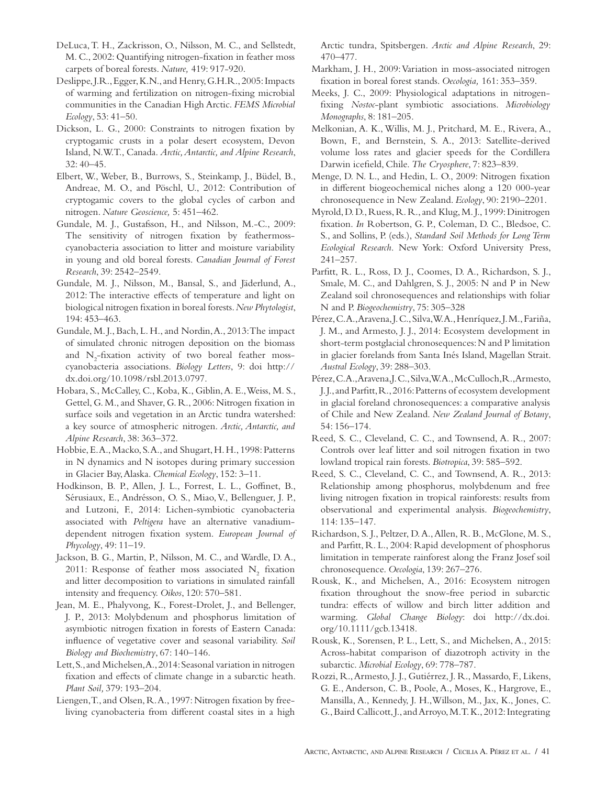- DeLuca, T. H., Zackrisson, O., Nilsson, M. C., and Sellstedt, M. C., 2002: Quantifying nitrogen-fixation in feather moss carpets of boreal forests. *Nature,* 419: 917-920.
- Deslippe, J.R., Egger, K.N., and Henry, G.H.R., 2005: Impacts of warming and fertilization on nitrogen-fixing microbial communities in the Canadian High Arctic. *FEMS Microbial Ecology*, 53: 41–50.
- Dickson, L. G., 2000: Constraints to nitrogen fixation by cryptogamic crusts in a polar desert ecosystem, Devon Island, N.W.T., Canada. *Arctic, Antarctic, and Alpine Research*, 32: 40–45.
- Elbert, W., Weber, B., Burrows, S., Steinkamp, J., Büdel, B., Andreae, M. O., and Pöschl, U., 2012: Contribution of cryptogamic covers to the global cycles of carbon and nitrogen. *Nature Geoscience,* 5: 451–462.
- Gundale, M. J., Gustafsson, H., and Nilsson, M.-C., 2009: The sensitivity of nitrogen fixation by feathermosscyanobacteria association to litter and moisture variability in young and old boreal forests. *Canadian Journal of Forest Research*, 39: 2542–2549.
- Gundale, M. J., Nilsson, M., Bansal, S., and Jäderlund, A., 2012: The interactive effects of temperature and light on biological nitrogen fixation in boreal forests. *New Phytologist*, 194: 453–463.
- Gundale, M. J., Bach, L. H., and Nordin, A., 2013: The impact of simulated chronic nitrogen deposition on the biomass and  $N_2$ -fixation activity of two boreal feather mosscyanobacteria associations. *Biology Letters*, 9: doi http:// dx.doi.org/10.1098/rsbl.2013.0797.
- Hobara, S., McCalley, C., Koba, K., Giblin, A. E., Weiss, M. S., Gettel, G. M., and Shaver, G. R., 2006: Nitrogen fixation in surface soils and vegetation in an Arctic tundra watershed: a key source of atmospheric nitrogen. *Arctic, Antarctic, and Alpine Research*, 38: 363–372.
- Hobbie, E. A., Macko, S. A., and Shugart, H. H., 1998: Patterns in N dynamics and N isotopes during primary succession in Glacier Bay, Alaska. *Chemical Ecology*, 152: 3–11.
- Hodkinson, B. P., Allen, J. L., Forrest, L. L., Goffinet, B., Sérusiaux, E., Andrésson, O. S., Miao, V., Bellenguer, J. P., and Lutzoni, F., 2014: Lichen-symbiotic cyanobacteria associated with *Peltigera* have an alternative vanadiumdependent nitrogen fixation system. *European Journal of Phycology*, 49: 11–19.
- Jackson, B. G., Martin, P., Nilsson, M. C., and Wardle, D. A., 2011: Response of feather moss associated  $N_2$  fixation and litter decomposition to variations in simulated rainfall intensity and frequency. *Oikos*, 120: 570–581.
- Jean, M. E., Phalyvong, K., Forest-Drolet, J., and Bellenger, J. P., 2013: Molybdenum and phosphorus limitation of asymbiotic nitrogen fixation in forests of Eastern Canada: influence of vegetative cover and seasonal variability. *Soil Biology and Biochemistry*, 67: 140–146.
- Lett, S., and Michelsen, A., 2014: Seasonal variation in nitrogen fixation and effects of climate change in a subarctic heath. *Plant Soil,* 379: 193–204.
- Liengen, T., and Olsen, R. A., 1997: Nitrogen fixation by freeliving cyanobacteria from different coastal sites in a high

Arctic tundra, Spitsbergen. *Arctic and Alpine Research*, 29: 470–477.

- Markham, J. H., 2009: Variation in moss-associated nitrogen fixation in boreal forest stands. *Oecologia,* 161: 353–359.
- Meeks, J. C., 2009: Physiological adaptations in nitrogenfixing *Nostoc*-plant symbiotic associations. *Microbiology Monographs*, 8: 181–205.
- Melkonian, A. K., Willis, M. J., Pritchard, M. E., Rivera, A., Bown, F., and Bernstein, S. A., 2013: Satellite-derived volume loss rates and glacier speeds for the Cordillera Darwin icefield, Chile. *The Cryosphere*, 7: 823–839.
- Menge, D. N. L., and Hedin, L. O., 2009: Nitrogen fixation in different biogeochemical niches along a 120 000-year chronosequence in New Zealand. *Ecology*, 90: 2190–2201.
- Myrold, D. D., Ruess, R. R., and Klug, M. J., 1999: Dinitrogen fixation. *In* Robertson, G. P., Coleman, D. C., Bledsoe, C. S., and Sollins, P. (eds.), *Standard Soil Methods for Long Term Ecological Research*. New York: Oxford University Press, 241–257.
- Parfitt, R. L., Ross, D. J., Coomes, D. A., Richardson, S. J., Smale, M. C., and Dahlgren, S. J., 2005: N and P in New Zealand soil chronosequences and relationships with foliar N and P. *Biogeochemistry*, 75: 305–328
- Pérez, C. A., Aravena, J. C., Silva, W. A., Henríquez, J. M., Fariña, J. M., and Armesto, J. J., 2014: Ecosystem development in short-term postglacial chronosequences: N and P limitation in glacier forelands from Santa Inés Island, Magellan Strait. *Austral Ecology*, 39: 288–303.
- Pérez, C.A., Aravena, J.C., Silva, W.A., McCulloch, R., Armesto, J. J., and Parfitt, R., 2016: Patterns of ecosystem development in glacial foreland chronosequences: a comparative analysis of Chile and New Zealand. *New Zealand Journal of Botany*, 54: 156–174.
- Reed, S. C., Cleveland, C. C., and Townsend, A. R., 2007: Controls over leaf litter and soil nitrogen fixation in two lowland tropical rain forests. *Biotropica*, 39: 585–592.
- Reed, S. C., Cleveland, C. C., and Townsend, A. R., 2013: Relationship among phosphorus, molybdenum and free living nitrogen fixation in tropical rainforests: results from observational and experimental analysis. *Biogeochemistry*, 114: 135–147.
- Richardson, S. J., Peltzer, D. A., Allen, R. B., McGlone, M. S., and Parfitt, R. L., 2004: Rapid development of phosphorus limitation in temperate rainforest along the Franz Josef soil chronosequence. *Oecologia*, 139: 267–276.
- Rousk, K., and Michelsen, A., 2016: Ecosystem nitrogen fixation throughout the snow-free period in subarctic tundra: effects of willow and birch litter addition and warming. *Global Change Biology*: doi http://dx.doi. org/10.1111/gcb.13418.
- Rousk, K., Sorensen, P. L., Lett, S., and Michelsen, A., 2015: Across-habitat comparison of diazotroph activity in the subarctic. *Microbial Ecology*, 69: 778–787.
- Rozzi, R., Armesto, J. J., Gutiérrez, J. R., Massardo, F., Likens, G. E., Anderson, C. B., Poole, A., Moses, K., Hargrove, E., Mansilla, A., Kennedy, J. H.,Willson, M., Jax, K., Jones, C. G., Baird Callicott, J., and Arroyo, M. T. K., 2012: Integrating